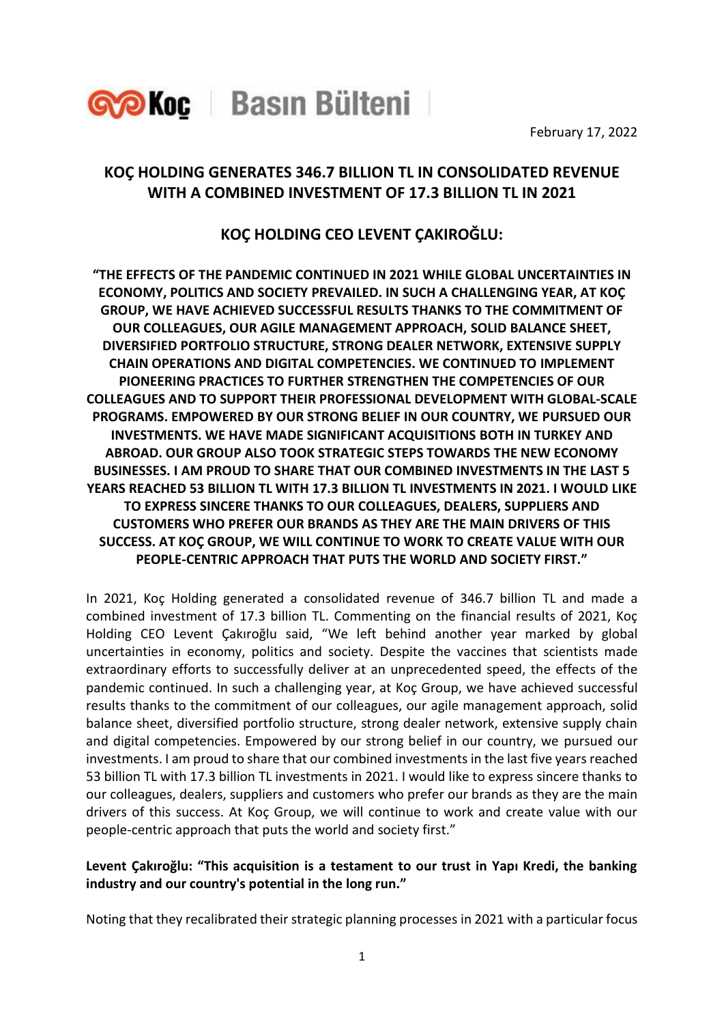

February 17, 2022

# **KOÇ HOLDING GENERATES 346.7 BILLION TL IN CONSOLIDATED REVENUE WITH A COMBINED INVESTMENT OF 17.3 BILLION TL IN 2021**

## **KOÇ HOLDING CEO LEVENT ÇAKIROĞLU:**

**"THE EFFECTS OF THE PANDEMIC CONTINUED IN 2021 WHILE GLOBAL UNCERTAINTIES IN ECONOMY, POLITICS AND SOCIETY PREVAILED. IN SUCH A CHALLENGING YEAR, AT KOÇ GROUP, WE HAVE ACHIEVED SUCCESSFUL RESULTS THANKS TO THE COMMITMENT OF OUR COLLEAGUES, OUR AGILE MANAGEMENT APPROACH, SOLID BALANCE SHEET, DIVERSIFIED PORTFOLIO STRUCTURE, STRONG DEALER NETWORK, EXTENSIVE SUPPLY CHAIN OPERATIONS AND DIGITAL COMPETENCIES. WE CONTINUED TO IMPLEMENT PIONEERING PRACTICES TO FURTHER STRENGTHEN THE COMPETENCIES OF OUR COLLEAGUES AND TO SUPPORT THEIR PROFESSIONAL DEVELOPMENT WITH GLOBAL-SCALE PROGRAMS. EMPOWERED BY OUR STRONG BELIEF IN OUR COUNTRY, WE PURSUED OUR INVESTMENTS. WE HAVE MADE SIGNIFICANT ACQUISITIONS BOTH IN TURKEY AND ABROAD. OUR GROUP ALSO TOOK STRATEGIC STEPS TOWARDS THE NEW ECONOMY BUSINESSES. I AM PROUD TO SHARE THAT OUR COMBINED INVESTMENTS IN THE LAST 5 YEARS REACHED 53 BILLION TL WITH 17.3 BILLION TL INVESTMENTS IN 2021. I WOULD LIKE TO EXPRESS SINCERE THANKS TO OUR COLLEAGUES, DEALERS, SUPPLIERS AND CUSTOMERS WHO PREFER OUR BRANDS AS THEY ARE THE MAIN DRIVERS OF THIS SUCCESS. AT KOÇ GROUP, WE WILL CONTINUE TO WORK TO CREATE VALUE WITH OUR PEOPLE-CENTRIC APPROACH THAT PUTS THE WORLD AND SOCIETY FIRST."**

In 2021, Koç Holding generated a consolidated revenue of 346.7 billion TL and made a combined investment of 17.3 billion TL. Commenting on the financial results of 2021, Koç Holding CEO Levent Çakıroğlu said, "We left behind another year marked by global uncertainties in economy, politics and society. Despite the vaccines that scientists made extraordinary efforts to successfully deliver at an unprecedented speed, the effects of the pandemic continued. In such a challenging year, at Koç Group, we have achieved successful results thanks to the commitment of our colleagues, our agile management approach, solid balance sheet, diversified portfolio structure, strong dealer network, extensive supply chain and digital competencies. Empowered by our strong belief in our country, we pursued our investments. I am proud to share that our combined investments in the last five years reached 53 billion TL with 17.3 billion TL investments in 2021. I would like to express sincere thanks to our colleagues, dealers, suppliers and customers who prefer our brands as they are the main drivers of this success. At Koç Group, we will continue to work and create value with our people-centric approach that puts the world and society first."

## **Levent Çakıroğlu: "This acquisition is a testament to our trust in Yapı Kredi, the banking industry and our country's potential in the long run."**

Noting that they recalibrated their strategic planning processes in 2021 with a particular focus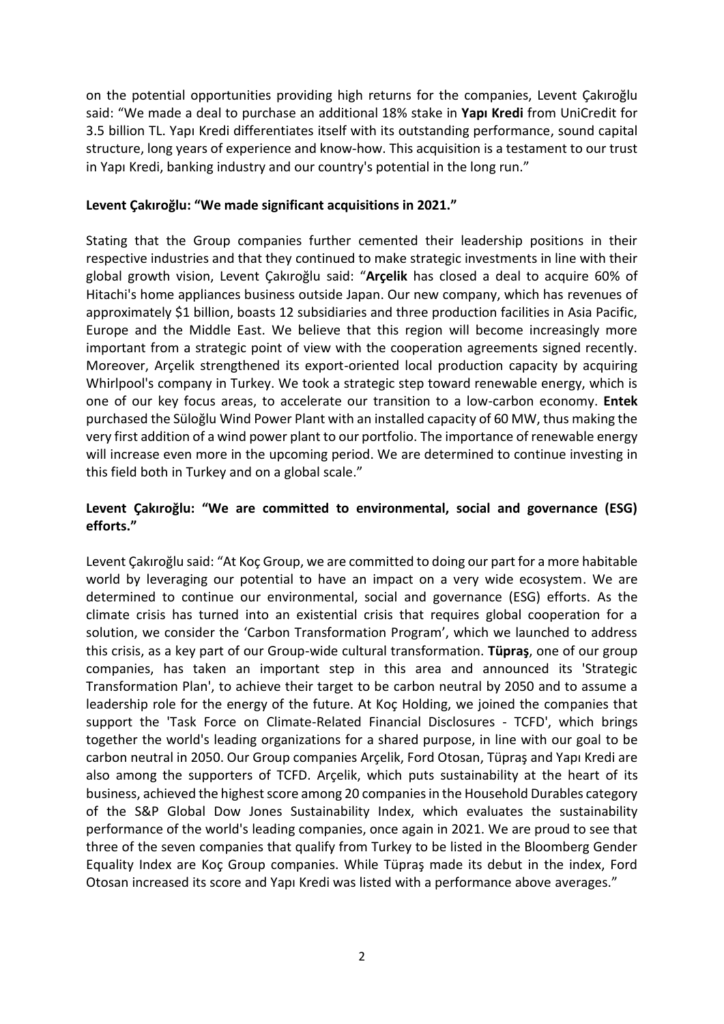on the potential opportunities providing high returns for the companies, Levent Çakıroğlu said: "We made a deal to purchase an additional 18% stake in **Yapı Kredi** from UniCredit for 3.5 billion TL. Yapı Kredi differentiates itself with its outstanding performance, sound capital structure, long years of experience and know-how. This acquisition is a testament to our trust in Yapı Kredi, banking industry and our country's potential in the long run."

#### **Levent Çakıroğlu: "We made significant acquisitions in 2021."**

Stating that the Group companies further cemented their leadership positions in their respective industries and that they continued to make strategic investments in line with their global growth vision, Levent Çakıroğlu said: "**Arçelik** has closed a deal to acquire 60% of Hitachi's home appliances business outside Japan. Our new company, which has revenues of approximately \$1 billion, boasts 12 subsidiaries and three production facilities in Asia Pacific, Europe and the Middle East. We believe that this region will become increasingly more important from a strategic point of view with the cooperation agreements signed recently. Moreover, Arçelik strengthened its export-oriented local production capacity by acquiring Whirlpool's company in Turkey. We took a strategic step toward renewable energy, which is one of our key focus areas, to accelerate our transition to a low-carbon economy. **Entek** purchased the Süloğlu Wind Power Plant with an installed capacity of 60 MW, thus making the very first addition of a wind power plant to our portfolio. The importance of renewable energy will increase even more in the upcoming period. We are determined to continue investing in this field both in Turkey and on a global scale."

## **Levent Çakıroğlu: "We are committed to environmental, social and governance (ESG) efforts."**

Levent Çakıroğlu said: "At Koç Group, we are committed to doing our part for a more habitable world by leveraging our potential to have an impact on a very wide ecosystem. We are determined to continue our environmental, social and governance (ESG) efforts. As the climate crisis has turned into an existential crisis that requires global cooperation for a solution, we consider the 'Carbon Transformation Program', which we launched to address this crisis, as a key part of our Group-wide cultural transformation. **Tüpraş**, one of our group companies, has taken an important step in this area and announced its 'Strategic Transformation Plan', to achieve their target to be carbon neutral by 2050 and to assume a leadership role for the energy of the future. At Koç Holding, we joined the companies that support the 'Task Force on Climate-Related Financial Disclosures - TCFD', which brings together the world's leading organizations for a shared purpose, in line with our goal to be carbon neutral in 2050. Our Group companies Arçelik, Ford Otosan, Tüpraş and Yapı Kredi are also among the supporters of TCFD. Arçelik, which puts sustainability at the heart of its business, achieved the highest score among 20 companies in the Household Durables category of the S&P Global Dow Jones Sustainability Index, which evaluates the sustainability performance of the world's leading companies, once again in 2021. We are proud to see that three of the seven companies that qualify from Turkey to be listed in the Bloomberg Gender Equality Index are Koç Group companies. While Tüpraş made its debut in the index, Ford Otosan increased its score and Yapı Kredi was listed with a performance above averages."